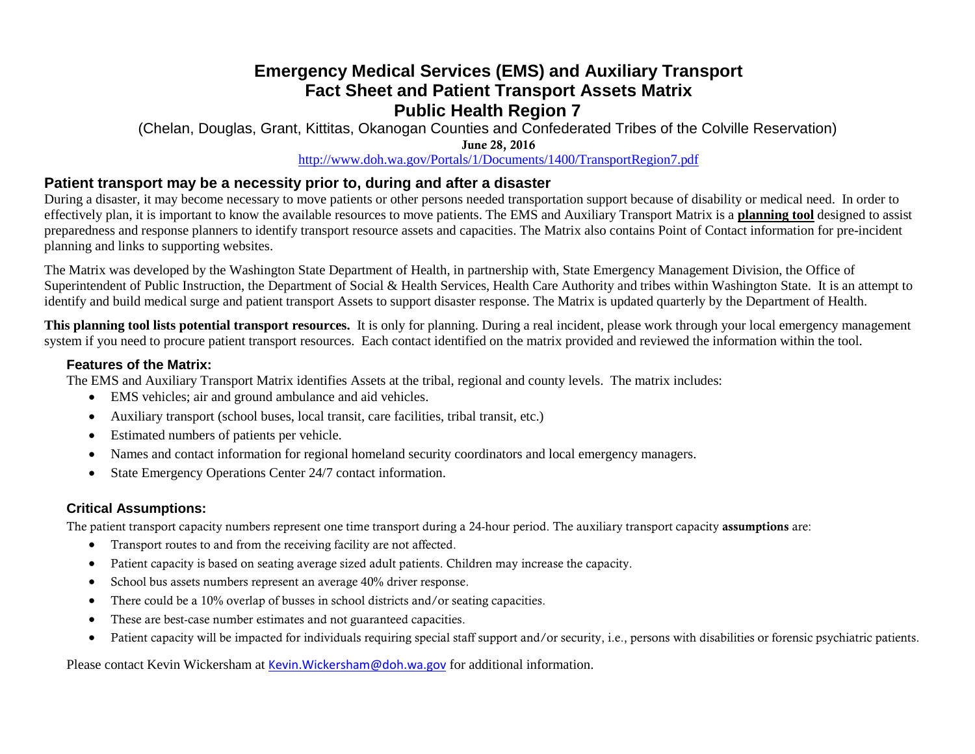# **Emergency Medical Services (EMS) and Auxiliary Transport Fact Sheet and Patient Transport Assets Matrix Public Health Region 7**

(Chelan, Douglas, Grant, Kittitas, Okanogan Counties and Confederated Tribes of the Colville Reservation) June 28, 2016

#### <http://www.doh.wa.gov/Portals/1/Documents/1400/TransportRegion7.pdf>

### **Patient transport may be a necessity prior to, during and after a disaster**

During a disaster, it may become necessary to move patients or other persons needed transportation support because of disability or medical need. In order to effectively plan, it is important to know the available resources to move patients. The EMS and Auxiliary Transport Matrix is a **planning tool** designed to assist preparedness and response planners to identify transport resource assets and capacities. The Matrix also contains Point of Contact information for pre-incident planning and links to supporting websites.

The Matrix was developed by the Washington State Department of Health, in partnership with, State Emergency Management Division, the Office of Superintendent of Public Instruction, the Department of Social & Health Services, Health Care Authority and tribes within Washington State. It is an attempt to identify and build medical surge and patient transport Assets to support disaster response. The Matrix is updated quarterly by the Department of Health.

**This planning tool lists potential transport resources.** It is only for planning. During a real incident, please work through your local emergency management system if you need to procure patient transport resources. Each contact identified on the matrix provided and reviewed the information within the tool.

#### **Features of the Matrix:**

The EMS and Auxiliary Transport Matrix identifies Assets at the tribal, regional and county levels. The matrix includes:

- EMS vehicles; air and ground ambulance and aid vehicles.
- Auxiliary transport (school buses, local transit, care facilities, tribal transit, etc.)
- Estimated numbers of patients per vehicle.
- Names and contact information for regional homeland security coordinators and local emergency managers.
- State Emergency Operations Center 24/7 contact information.

## **Critical Assumptions:**

The patient transport capacity numbers represent one time transport during a 24-hour period. The auxiliary transport capacity assumptions are:

- Transport routes to and from the receiving facility are not affected.
- Patient capacity is based on seating average sized adult patients. Children may increase the capacity.
- School bus assets numbers represent an average 40% driver response.
- There could be a 10% overlap of busses in school districts and/or seating capacities.
- These are best-case number estimates and not guaranteed capacities.
- Patient capacity will be impacted for individuals requiring special staff support and/or security, i.e., persons with disabilities or forensic psychiatric patients.

Please contact Kevin Wickersham at [Kevin.Wickersham@doh.wa.gov](mailto:Kevin.Wickersham@doh.wa.gov) for additional information.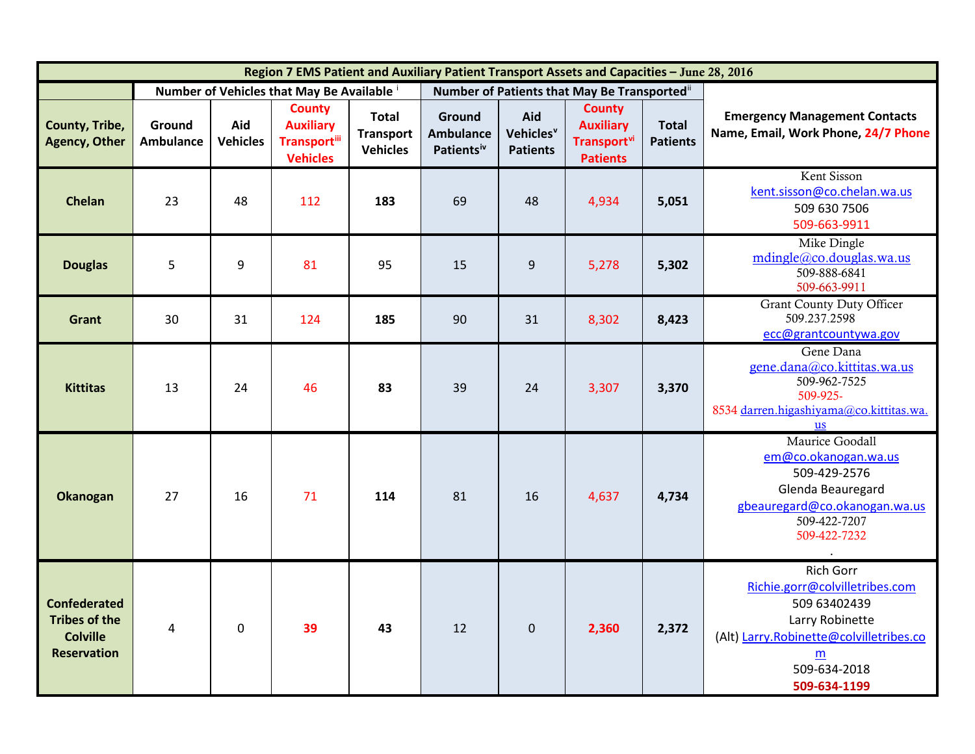| Region 7 EMS Patient and Auxiliary Patient Transport Assets and Capacities - June 28, 2016 |                                          |                        |                                                                              |                                                     |                                                      |                                                 |                                                                                        |                                 |                                                                                                                                                                                                                                                                                                                                                                                                                                                                                                                                                                                                 |
|--------------------------------------------------------------------------------------------|------------------------------------------|------------------------|------------------------------------------------------------------------------|-----------------------------------------------------|------------------------------------------------------|-------------------------------------------------|----------------------------------------------------------------------------------------|---------------------------------|-------------------------------------------------------------------------------------------------------------------------------------------------------------------------------------------------------------------------------------------------------------------------------------------------------------------------------------------------------------------------------------------------------------------------------------------------------------------------------------------------------------------------------------------------------------------------------------------------|
|                                                                                            | Number of Vehicles that May Be Available |                        |                                                                              |                                                     | Number of Patients that May Be Transported"          |                                                 |                                                                                        |                                 |                                                                                                                                                                                                                                                                                                                                                                                                                                                                                                                                                                                                 |
| County, Tribe,<br><b>Agency, Other</b>                                                     | Ground<br><b>Ambulance</b>               | Aid<br><b>Vehicles</b> | <b>County</b><br><b>Auxiliary</b><br><b>Transport</b> iii<br><b>Vehicles</b> | <b>Total</b><br><b>Transport</b><br><b>Vehicles</b> | Ground<br><b>Ambulance</b><br>Patients <sup>iv</sup> | Aid<br>Vehicles <sup>v</sup><br><b>Patients</b> | <b>County</b><br><b>Auxiliary</b><br><b>Transport</b> <sup>vi</sup><br><b>Patients</b> | <b>Total</b><br><b>Patients</b> | <b>Emergency Management Contacts</b><br>Name, Email, Work Phone, 24/7 Phone                                                                                                                                                                                                                                                                                                                                                                                                                                                                                                                     |
| Chelan                                                                                     | 23                                       | 48                     | 112                                                                          | 183                                                 | 69                                                   | 48                                              | 4,934                                                                                  | 5,051                           | Kent Sisson<br>kent.sisson@co.chelan.wa.us<br>509 630 7506<br>509-663-9911                                                                                                                                                                                                                                                                                                                                                                                                                                                                                                                      |
| <b>Douglas</b>                                                                             | 5                                        | 9                      | 81                                                                           | 95                                                  | 15                                                   | 9                                               | 5,278                                                                                  | 5,302                           | Mike Dingle<br>$mid(\overline{a} \cdot \overline{c} \cdot \overline{c} \cdot \overline{c} \cdot \overline{c} \cdot \overline{c} \cdot \overline{c} \cdot \overline{c} \cdot \overline{c} \cdot \overline{c} \cdot \overline{c} \cdot \overline{c} \cdot \overline{c} \cdot \overline{c} \cdot \overline{c} \cdot \overline{c} \cdot \overline{c} \cdot \overline{c} \cdot \overline{c} \cdot \overline{c} \cdot \overline{c} \cdot \overline{c} \cdot \overline{c} \cdot \overline{c} \cdot \overline{c} \cdot \overline{c} \cdot \overline{c} \cdot \overline$<br>509-888-6841<br>509-663-9911 |
| Grant                                                                                      | 30                                       | 31                     | 124                                                                          | 185                                                 | 90                                                   | 31                                              | 8,302                                                                                  | 8,423                           | <b>Grant County Duty Officer</b><br>509.237.2598<br>ecc@grantcountywa.gov                                                                                                                                                                                                                                                                                                                                                                                                                                                                                                                       |
| <b>Kittitas</b>                                                                            | 13                                       | 24                     | 46                                                                           | 83                                                  | 39                                                   | 24                                              | 3,307                                                                                  | 3,370                           | Gene Dana<br>gene.dana@co.kittitas.wa.us<br>509-962-7525<br>509-925-<br>8534 darren.higashiyama@co.kittitas.wa.<br><b>us</b>                                                                                                                                                                                                                                                                                                                                                                                                                                                                    |
| <b>Okanogan</b>                                                                            | 27                                       | 16                     | 71                                                                           | 114                                                 | 81                                                   | 16                                              | 4,637                                                                                  | 4,734                           | Maurice Goodall<br>em@co.okanogan.wa.us<br>509-429-2576<br>Glenda Beauregard<br>gbeauregard@co.okanogan.wa.us<br>509-422-7207<br>509-422-7232                                                                                                                                                                                                                                                                                                                                                                                                                                                   |
| <b>Confederated</b><br><b>Tribes of the</b><br><b>Colville</b><br><b>Reservation</b>       | $\overline{4}$                           | $\mathbf 0$            | 39                                                                           | 43                                                  | 12                                                   | $\mathbf{0}$                                    | 2,360                                                                                  | 2,372                           | <b>Rich Gorr</b><br>Richie.gorr@colvilletribes.com<br>509 63402439<br>Larry Robinette<br>(Alt) Larry.Robinette@colvilletribes.co<br>m<br>509-634-2018<br>509-634-1199                                                                                                                                                                                                                                                                                                                                                                                                                           |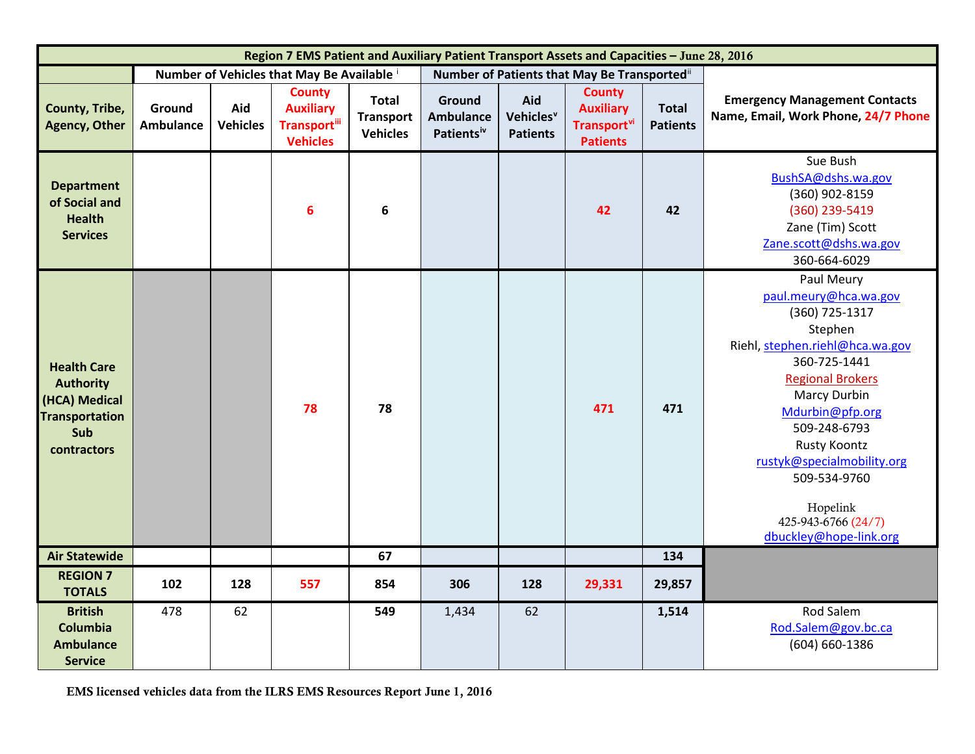<span id="page-2-5"></span><span id="page-2-4"></span><span id="page-2-3"></span><span id="page-2-2"></span><span id="page-2-1"></span><span id="page-2-0"></span>

| Region 7 EMS Patient and Auxiliary Patient Transport Assets and Capacities - June 28, 2016             |                     |                        |                                                                              |                                                     |                                                      |                                                 |                                                                                        |                                 |                                                                                                                                                                                                                                                                                                                                            |  |
|--------------------------------------------------------------------------------------------------------|---------------------|------------------------|------------------------------------------------------------------------------|-----------------------------------------------------|------------------------------------------------------|-------------------------------------------------|----------------------------------------------------------------------------------------|---------------------------------|--------------------------------------------------------------------------------------------------------------------------------------------------------------------------------------------------------------------------------------------------------------------------------------------------------------------------------------------|--|
|                                                                                                        |                     |                        | Number of Vehicles that May Be Available i                                   |                                                     | Number of Patients that May Be Transported"          |                                                 |                                                                                        |                                 |                                                                                                                                                                                                                                                                                                                                            |  |
| County, Tribe,<br><b>Agency, Other</b>                                                                 | Ground<br>Ambulance | Aid<br><b>Vehicles</b> | <b>County</b><br><b>Auxiliary</b><br><b>Transport</b> iii<br><b>Vehicles</b> | <b>Total</b><br><b>Transport</b><br><b>Vehicles</b> | Ground<br><b>Ambulance</b><br>Patients <sup>iv</sup> | Aid<br>Vehicles <sup>v</sup><br><b>Patients</b> | <b>County</b><br><b>Auxiliary</b><br><b>Transport</b> <sup>vi</sup><br><b>Patients</b> | <b>Total</b><br><b>Patients</b> | <b>Emergency Management Contacts</b><br>Name, Email, Work Phone, 24/7 Phone                                                                                                                                                                                                                                                                |  |
| <b>Department</b><br>of Social and<br><b>Health</b><br><b>Services</b>                                 |                     |                        | $6\phantom{1}6$                                                              | 6                                                   |                                                      |                                                 | 42                                                                                     | 42                              | Sue Bush<br>BushSA@dshs.wa.gov<br>(360) 902-8159<br>(360) 239-5419<br>Zane (Tim) Scott<br>Zane.scott@dshs.wa.gov<br>360-664-6029                                                                                                                                                                                                           |  |
| <b>Health Care</b><br><b>Authority</b><br>(HCA) Medical<br><b>Transportation</b><br>Sub<br>contractors |                     |                        | 78                                                                           | 78                                                  |                                                      |                                                 | 471                                                                                    | 471                             | Paul Meury<br>paul.meury@hca.wa.gov<br>(360) 725-1317<br>Stephen<br>Riehl, stephen.riehl@hca.wa.gov<br>360-725-1441<br><b>Regional Brokers</b><br><b>Marcy Durbin</b><br>Mdurbin@pfp.org<br>509-248-6793<br><b>Rusty Koontz</b><br>rustyk@specialmobility.org<br>509-534-9760<br>Hopelink<br>425-943-6766 (24/7)<br>dbuckley@hope-link.org |  |
| <b>Air Statewide</b>                                                                                   |                     |                        |                                                                              | 67                                                  |                                                      |                                                 |                                                                                        | 134                             |                                                                                                                                                                                                                                                                                                                                            |  |
| <b>REGION 7</b><br><b>TOTALS</b>                                                                       | 102                 | 128                    | 557                                                                          | 854                                                 | 306                                                  | 128                                             | 29,331                                                                                 | 29,857                          |                                                                                                                                                                                                                                                                                                                                            |  |
| <b>British</b><br>Columbia<br><b>Ambulance</b><br><b>Service</b>                                       | 478                 | 62                     |                                                                              | 549                                                 | 1,434                                                | 62                                              |                                                                                        | 1,514                           | Rod Salem<br>Rod.Salem@gov.bc.ca<br>(604) 660-1386                                                                                                                                                                                                                                                                                         |  |

EMS licensed vehicles data from the ILRS EMS Resources Report June 1, 2016